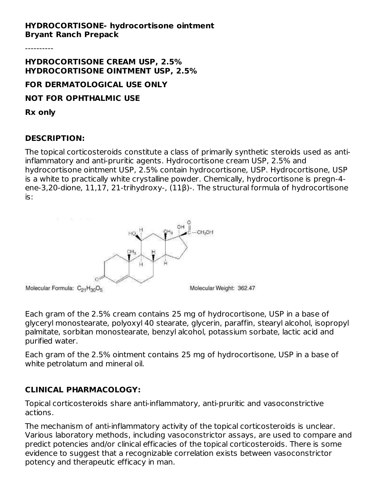#### **HYDROCORTISONE- hydrocortisone ointment Bryant Ranch Prepack**

**HYDROCORTISONE CREAM USP, 2.5% HYDROCORTISONE OINTMENT USP, 2.5%**

**FOR DERMATOLOGICAL USE ONLY**

**NOT FOR OPHTHALMIC USE**

**Rx only**

### **DESCRIPTION:**

The topical corticosteroids constitute a class of primarily synthetic steroids used as antiinflammatory and anti-pruritic agents. Hydrocortisone cream USP, 2.5% and hydrocortisone ointment USP, 2.5% contain hydrocortisone, USP. Hydrocortisone, USP is a white to practically white crystalline powder. Chemically, hydrocortisone is pregn-4 ene-3,20-dione, 11,17, 21-trihydroxy-, (11β)-. The structural formula of hydrocortisone is:



Each gram of the 2.5% cream contains 25 mg of hydrocortisone, USP in a base of glyceryl monostearate, polyoxyl 40 stearate, glycerin, paraffin, stearyl alcohol, isopropyl palmitate, sorbitan monostearate, benzyl alcohol, potassium sorbate, lactic acid and purified water.

Each gram of the 2.5% ointment contains 25 mg of hydrocortisone, USP in a base of white petrolatum and mineral oil.

### **CLINICAL PHARMACOLOGY:**

Topical corticosteroids share anti-inflammatory, anti-pruritic and vasoconstrictive actions.

The mechanism of anti-inflammatory activity of the topical corticosteroids is unclear. Various laboratory methods, including vasoconstrictor assays, are used to compare and predict potencies and/or clinical efficacies of the topical corticosteroids. There is some evidence to suggest that a recognizable correlation exists between vasoconstrictor potency and therapeutic efficacy in man.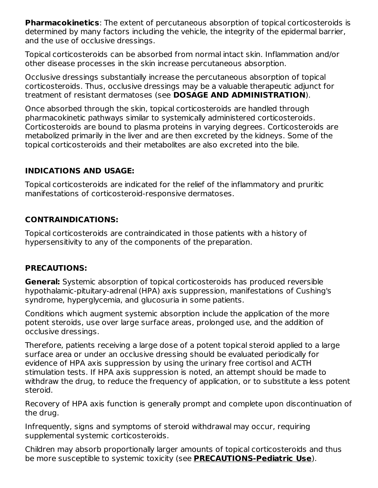**Pharmacokinetics**: The extent of percutaneous absorption of topical corticosteroids is determined by many factors including the vehicle, the integrity of the epidermal barrier, and the use of occlusive dressings.

Topical corticosteroids can be absorbed from normal intact skin. Inflammation and/or other disease processes in the skin increase percutaneous absorption.

Occlusive dressings substantially increase the percutaneous absorption of topical corticosteroids. Thus, occlusive dressings may be a valuable therapeutic adjunct for treatment of resistant dermatoses (see **DOSAGE AND ADMINISTRATION**).

Once absorbed through the skin, topical corticosteroids are handled through pharmacokinetic pathways similar to systemically administered corticosteroids. Corticosteroids are bound to plasma proteins in varying degrees. Corticosteroids are metabolized primarily in the liver and are then excreted by the kidneys. Some of the topical corticosteroids and their metabolites are also excreted into the bile.

# **INDICATIONS AND USAGE:**

Topical corticosteroids are indicated for the relief of the inflammatory and pruritic manifestations of corticosteroid-responsive dermatoses.

# **CONTRAINDICATIONS:**

Topical corticosteroids are contraindicated in those patients with a history of hypersensitivity to any of the components of the preparation.

# **PRECAUTIONS:**

**General:** Systemic absorption of topical corticosteroids has produced reversible hypothalamic-pituitary-adrenal (HPA) axis suppression, manifestations of Cushing's syndrome, hyperglycemia, and glucosuria in some patients.

Conditions which augment systemic absorption include the application of the more potent steroids, use over large surface areas, prolonged use, and the addition of occlusive dressings.

Therefore, patients receiving a large dose of a potent topical steroid applied to a large surface area or under an occlusive dressing should be evaluated periodically for evidence of HPA axis suppression by using the urinary free cortisol and ACTH stimulation tests. If HPA axis suppression is noted, an attempt should be made to withdraw the drug, to reduce the frequency of application, or to substitute a less potent steroid.

Recovery of HPA axis function is generally prompt and complete upon discontinuation of the drug.

Infrequently, signs and symptoms of steroid withdrawal may occur, requiring supplemental systemic corticosteroids.

Children may absorb proportionally larger amounts of topical corticosteroids and thus be more susceptible to systemic toxicity (see **PRECAUTIONS-Pediatric Use**).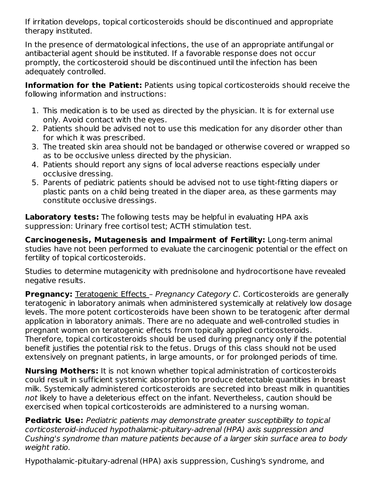If irritation develops, topical corticosteroids should be discontinued and appropriate therapy instituted.

In the presence of dermatological infections, the use of an appropriate antifungal or antibacterial agent should be instituted. If a favorable response does not occur promptly, the corticosteroid should be discontinued until the infection has been adequately controlled.

**Information for the Patient:** Patients using topical corticosteroids should receive the following information and instructions:

- 1. This medication is to be used as directed by the physician. It is for external use only. Avoid contact with the eyes.
- 2. Patients should be advised not to use this medication for any disorder other than for which it was prescribed.
- 3. The treated skin area should not be bandaged or otherwise covered or wrapped so as to be occlusive unless directed by the physician.
- 4. Patients should report any signs of local adverse reactions especially under occlusive dressing.
- 5. Parents of pediatric patients should be advised not to use tight-fitting diapers or plastic pants on a child being treated in the diaper area, as these garments may constitute occlusive dressings.

**Laboratory tests:** The following tests may be helpful in evaluating HPA axis suppression: Urinary free cortisol test; ACTH stimulation test.

**Carcinogenesis, Mutagenesis and Impairment of Fertility:** Long-term animal studies have not been performed to evaluate the carcinogenic potential or the effect on fertility of topical corticosteroids.

Studies to determine mutagenicity with prednisolone and hydrocortisone have revealed negative results.

**Pregnancy:** Teratogenic Effects - Pregnancy Category C. Corticosteroids are generally teratogenic in laboratory animals when administered systemically at relatively low dosage levels. The more potent corticosteroids have been shown to be teratogenic after dermal application in laboratory animals. There are no adequate and well-controlled studies in pregnant women on teratogenic effects from topically applied corticosteroids. Therefore, topical corticosteroids should be used during pregnancy only if the potential benefit justifies the potential risk to the fetus. Drugs of this class should not be used extensively on pregnant patients, in large amounts, or for prolonged periods of time.

**Nursing Mothers:** It is not known whether topical administration of corticosteroids could result in sufficient systemic absorption to produce detectable quantities in breast milk. Systemically administered corticosteroids are secreted into breast milk in quantities not likely to have a deleterious effect on the infant. Nevertheless, caution should be exercised when topical corticosteroids are administered to a nursing woman.

**Pediatric Use:** Pediatric patients may demonstrate greater susceptibility to topical corticosteroid-induced hypothalamic-pituitary-adrenal (HPA) axis suppression and Cushing's syndrome than mature patients because of a larger skin surface area to body weight ratio.

Hypothalamic-pituitary-adrenal (HPA) axis suppression, Cushing's syndrome, and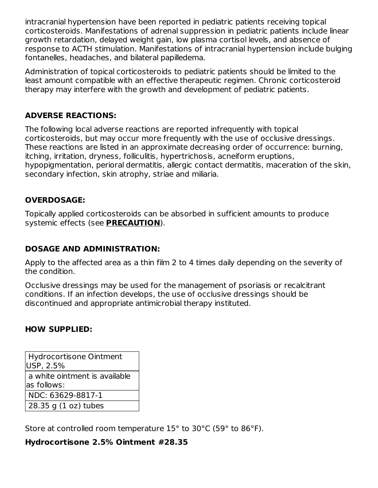intracranial hypertension have been reported in pediatric patients receiving topical corticosteroids. Manifestations of adrenal suppression in pediatric patients include linear growth retardation, delayed weight gain, low plasma cortisol levels, and absence of response to ACTH stimulation. Manifestations of intracranial hypertension include bulging fontanelles, headaches, and bilateral papilledema.

Administration of topical corticosteroids to pediatric patients should be limited to the least amount compatible with an effective therapeutic regimen. Chronic corticosteroid therapy may interfere with the growth and development of pediatric patients.

# **ADVERSE REACTIONS:**

The following local adverse reactions are reported infrequently with topical corticosteroids, but may occur more frequently with the use of occlusive dressings. These reactions are listed in an approximate decreasing order of occurrence: burning, itching, irritation, dryness, folliculitis, hypertrichosis, acneiform eruptions, hypopigmentation, perioral dermatitis, allergic contact dermatitis, maceration of the skin, secondary infection, skin atrophy, striae and miliaria.

## **OVERDOSAGE:**

Topically applied corticosteroids can be absorbed in sufficient amounts to produce systemic effects (see **PRECAUTION**).

### **DOSAGE AND ADMINISTRATION:**

Apply to the affected area as a thin film 2 to 4 times daily depending on the severity of the condition.

Occlusive dressings may be used for the management of psoriasis or recalcitrant conditions. If an infection develops, the use of occlusive dressings should be discontinued and appropriate antimicrobial therapy instituted.

### **HOW SUPPLIED:**

Hydrocortisone Ointment USP, 2.5% a white ointment is available as follows: NDC: 63629-8817-1 28.35 g (1 oz) tubes

Store at controlled room temperature 15° to 30°C (59° to 86°F).

### **Hydrocortisone 2.5% Ointment #28.35**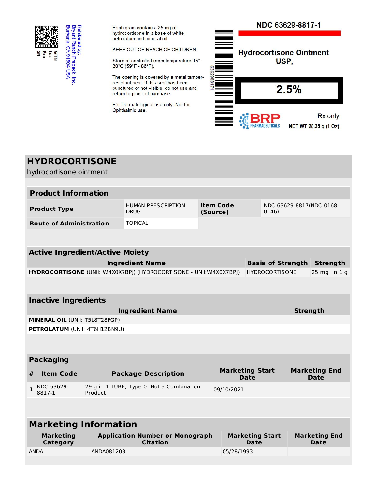

Each gram contains: 25 mg of hydrocortisone in a base of white petrolatum and mineral oil.

KEEP OUT OF REACH OF CHILDREN.

Store at controlled room temperature 15° -30°C (59°F - 86°F).

The opening is covered by a metal tamperresistant seal. If this seal has been punctured or not visible, do not use and return to place of purchase.

For Dermatological use only. Not for Ophthalmic use.



| <b>HYDROCORTISONE</b><br>hydrocortisone ointment                    |                                                                          |                                                           |  |                                       |                                       |                                                           |                                     |                              |  |
|---------------------------------------------------------------------|--------------------------------------------------------------------------|-----------------------------------------------------------|--|---------------------------------------|---------------------------------------|-----------------------------------------------------------|-------------------------------------|------------------------------|--|
| <b>Product Information</b>                                          |                                                                          |                                                           |  |                                       |                                       |                                                           |                                     |                              |  |
| <b>Product Type</b>                                                 | <b>Item Code</b><br><b>HUMAN PRESCRIPTION</b><br><b>DRUG</b><br>(Source) |                                                           |  |                                       | NDC:63629-8817(NDC:0168-<br>0146)     |                                                           |                                     |                              |  |
| <b>Route of Administration</b>                                      |                                                                          | <b>TOPICAL</b>                                            |  |                                       |                                       |                                                           |                                     |                              |  |
|                                                                     |                                                                          |                                                           |  |                                       |                                       |                                                           |                                     |                              |  |
| <b>Active Ingredient/Active Moiety</b>                              |                                                                          |                                                           |  |                                       |                                       |                                                           |                                     |                              |  |
| <b>Ingredient Name</b>                                              |                                                                          |                                                           |  |                                       |                                       | <b>Basis of Strength</b>                                  | <b>Strength</b>                     |                              |  |
| HYDROCORTISONE (UNII: W4X0X7BPJ) (HYDROCORTISONE - UNII: W4X0X7BPJ) |                                                                          |                                                           |  |                                       |                                       | <b>HYDROCORTISONE</b><br>$25 \text{ mg}$ in $1 \text{ g}$ |                                     |                              |  |
|                                                                     |                                                                          |                                                           |  |                                       |                                       |                                                           |                                     |                              |  |
| <b>Inactive Ingredients</b>                                         |                                                                          |                                                           |  |                                       |                                       |                                                           |                                     |                              |  |
|                                                                     |                                                                          | <b>Ingredient Name</b>                                    |  |                                       | <b>Strength</b>                       |                                                           |                                     |                              |  |
| <b>MINERAL OIL (UNII: T5L8T28FGP)</b>                               |                                                                          |                                                           |  |                                       |                                       |                                                           |                                     |                              |  |
| <b>PETROLATUM (UNII: 4T6H12BN9U)</b>                                |                                                                          |                                                           |  |                                       |                                       |                                                           |                                     |                              |  |
|                                                                     |                                                                          |                                                           |  |                                       |                                       |                                                           |                                     |                              |  |
| <b>Packaging</b>                                                    |                                                                          |                                                           |  |                                       |                                       |                                                           |                                     |                              |  |
| <b>Item Code</b><br>#                                               | <b>Package Description</b>                                               |                                                           |  | <b>Marketing Start</b><br><b>Date</b> |                                       |                                                           | <b>Marketing End</b><br><b>Date</b> |                              |  |
| NDC:63629-<br>$\mathbf{1}$<br>8817-1<br>Product                     |                                                                          | 29 g in 1 TUBE; Type 0: Not a Combination                 |  |                                       | 09/10/2021                            |                                                           |                                     |                              |  |
|                                                                     |                                                                          |                                                           |  |                                       |                                       |                                                           |                                     |                              |  |
| <b>Marketing Information</b>                                        |                                                                          |                                                           |  |                                       |                                       |                                                           |                                     |                              |  |
| <b>Marketing</b><br>Category                                        |                                                                          | <b>Application Number or Monograph</b><br><b>Citation</b> |  |                                       | <b>Marketing Start</b><br><b>Date</b> |                                                           |                                     | <b>Marketing End</b><br>Date |  |
| <b>ANDA</b>                                                         | ANDA081203                                                               |                                                           |  |                                       | 05/28/1993                            |                                                           |                                     |                              |  |
|                                                                     |                                                                          |                                                           |  |                                       |                                       |                                                           |                                     |                              |  |